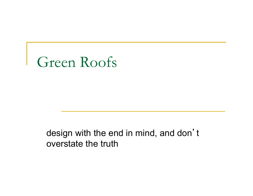

design with the end in mind, and don't overstate the truth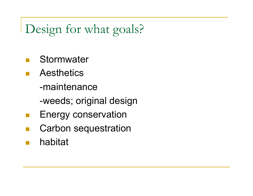## Design for what goals?

- **Stormwater**
- **Aesthetics** -maintenance
	- -weeds; original design
- **Energy conservation**
- **Carbon sequestration**
- ! habitat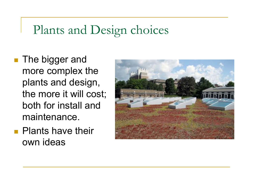#### Plants and Design choices

- **The bigger and** more complex the plants and design, the more it will cost; both for install and maintenance.
- **Plants have their** own ideas

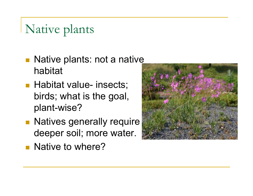# Native plants

- **Native plants: not a native** habitat
- **Habitat value- insects;** birds; what is the goal, plant-wise?
- **Natives generally require** deeper soil; more water.
- **Native to where?**

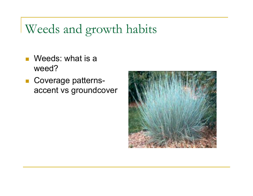#### Weeds and growth habits

- $\blacksquare$  Weeds: what is a weed?
- **E** Coverage patternsaccent vs groundcover

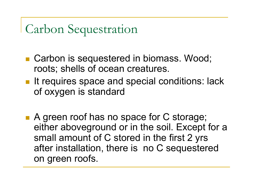Carbon Sequestration

- Carbon is sequestered in biomass. Wood; roots; shells of ocean creatures.
- **If it requires space and special conditions: lack** of oxygen is standard
- A green roof has no space for C storage; either aboveground or in the soil. Except for a small amount of C stored in the first 2 yrs after installation, there is no C sequestered on green roofs.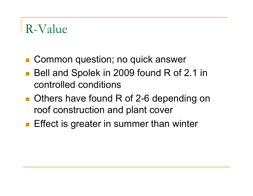#### R-Value

- Common question; no quick answer
- **Bell and Spolek in 2009 found R of 2.1 in** controlled conditions
- **Deta Cheau State found R of 2-6 depending on** roof construction and plant cover
- **Effect is greater in summer than winter**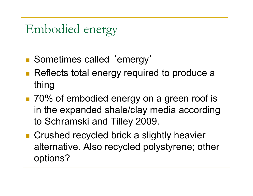### Embodied energy

- **Bometimes called 'emergy'**
- **Reflects total energy required to produce a** thing
- 70% of embodied energy on a green roof is in the expanded shale/clay media according to Schramski and Tilley 2009.
- **E** Crushed recycled brick a slightly heavier alternative. Also recycled polystyrene; other options?